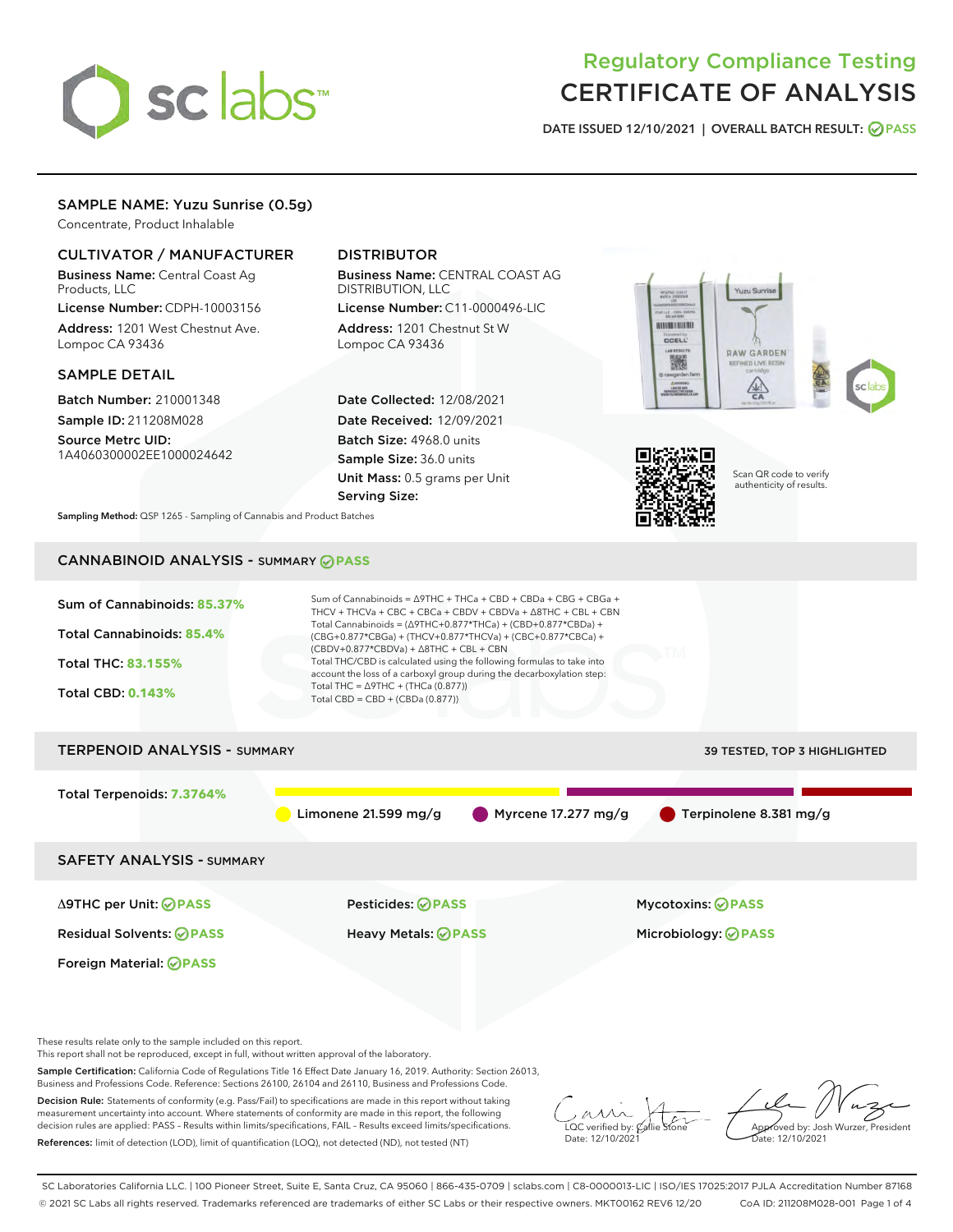

# Regulatory Compliance Testing CERTIFICATE OF ANALYSIS

DATE ISSUED 12/10/2021 | OVERALL BATCH RESULT: @ PASS

# SAMPLE NAME: Yuzu Sunrise (0.5g)

Concentrate, Product Inhalable

# CULTIVATOR / MANUFACTURER

Business Name: Central Coast Ag Products, LLC

License Number: CDPH-10003156 Address: 1201 West Chestnut Ave. Lompoc CA 93436

## SAMPLE DETAIL

Batch Number: 210001348 Sample ID: 211208M028

Source Metrc UID: 1A4060300002EE1000024642

# DISTRIBUTOR

Business Name: CENTRAL COAST AG DISTRIBUTION, LLC

License Number: C11-0000496-LIC Address: 1201 Chestnut St W Lompoc CA 93436

Date Collected: 12/08/2021 Date Received: 12/09/2021 Batch Size: 4968.0 units Sample Size: 36.0 units Unit Mass: 0.5 grams per Unit Serving Size:





Scan QR code to verify authenticity of results.

Sampling Method: QSP 1265 - Sampling of Cannabis and Product Batches

# CANNABINOID ANALYSIS - SUMMARY **PASS**



This report shall not be reproduced, except in full, without written approval of the laboratory.

Sample Certification: California Code of Regulations Title 16 Effect Date January 16, 2019. Authority: Section 26013, Business and Professions Code. Reference: Sections 26100, 26104 and 26110, Business and Professions Code.

Decision Rule: Statements of conformity (e.g. Pass/Fail) to specifications are made in this report without taking measurement uncertainty into account. Where statements of conformity are made in this report, the following decision rules are applied: PASS – Results within limits/specifications, FAIL – Results exceed limits/specifications. References: limit of detection (LOD), limit of quantification (LOQ), not detected (ND), not tested (NT)

 $\overline{\text{C}}$  verified by:  $\mathcal C$ Date: 12/10/2021

**A**<br>Approved by: Josh Wurzer, President ate: 12/10/2021

SC Laboratories California LLC. | 100 Pioneer Street, Suite E, Santa Cruz, CA 95060 | 866-435-0709 | sclabs.com | C8-0000013-LIC | ISO/IES 17025:2017 PJLA Accreditation Number 87168 © 2021 SC Labs all rights reserved. Trademarks referenced are trademarks of either SC Labs or their respective owners. MKT00162 REV6 12/20 CoA ID: 211208M028-001 Page 1 of 4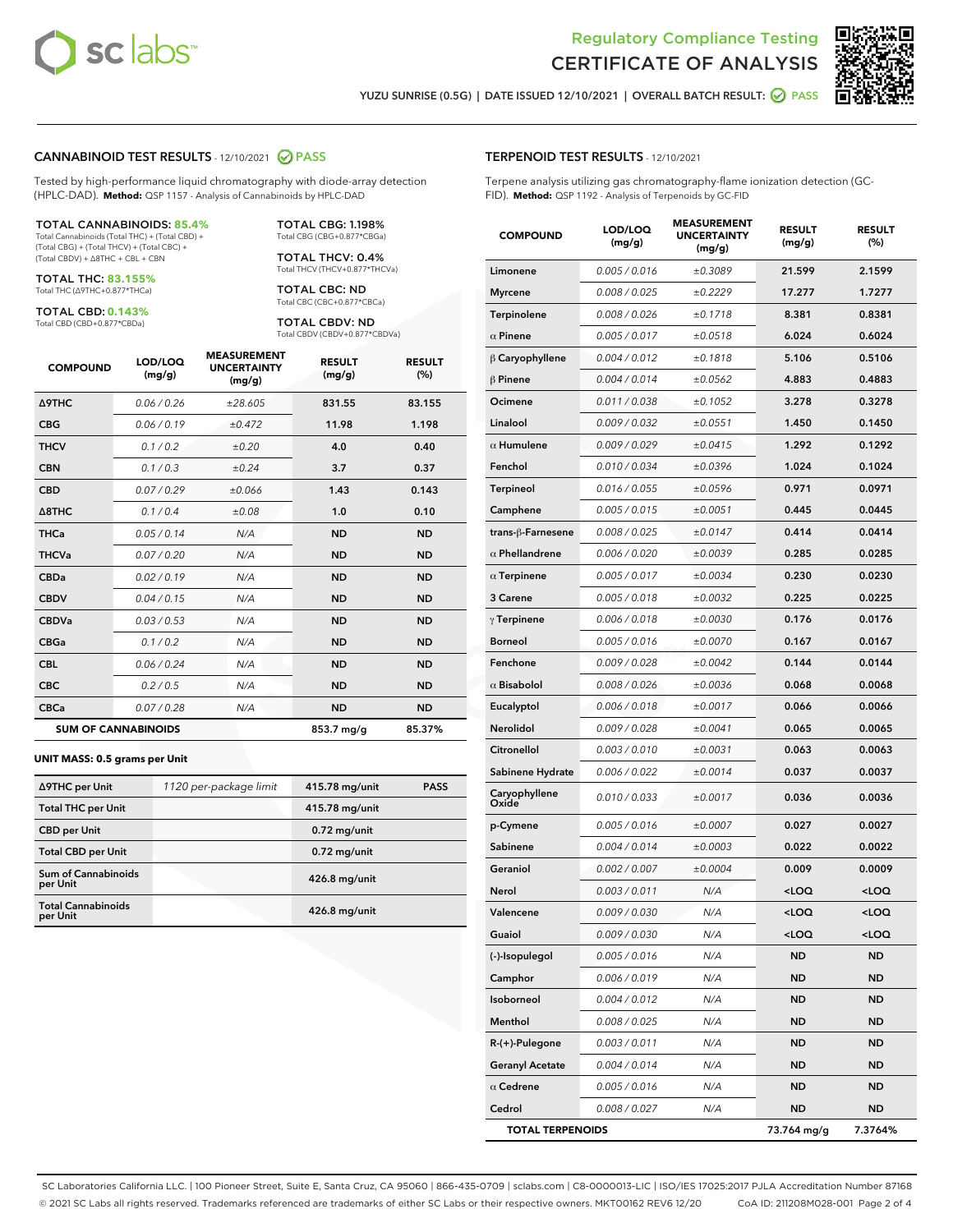



YUZU SUNRISE (0.5G) | DATE ISSUED 12/10/2021 | OVERALL BATCH RESULT: **○** PASS

### CANNABINOID TEST RESULTS - 12/10/2021 2 PASS

Tested by high-performance liquid chromatography with diode-array detection (HPLC-DAD). **Method:** QSP 1157 - Analysis of Cannabinoids by HPLC-DAD

#### TOTAL CANNABINOIDS: **85.4%**

Total Cannabinoids (Total THC) + (Total CBD) + (Total CBG) + (Total THCV) + (Total CBC) + (Total CBDV) + ∆8THC + CBL + CBN

TOTAL THC: **83.155%** Total THC (∆9THC+0.877\*THCa)

TOTAL CBD: **0.143%**

Total CBD (CBD+0.877\*CBDa)

TOTAL CBG: 1.198% Total CBG (CBG+0.877\*CBGa)

TOTAL THCV: 0.4% Total THCV (THCV+0.877\*THCVa)

TOTAL CBC: ND Total CBC (CBC+0.877\*CBCa)

TOTAL CBDV: ND Total CBDV (CBDV+0.877\*CBDVa)

| <b>COMPOUND</b>            | LOD/LOQ<br>(mg/g) | <b>MEASUREMENT</b><br><b>UNCERTAINTY</b><br>(mg/g) | <b>RESULT</b><br>(mg/g) | <b>RESULT</b><br>(%) |
|----------------------------|-------------------|----------------------------------------------------|-------------------------|----------------------|
| Δ9THC                      | 0.06 / 0.26       | ±28.605                                            | 831.55                  | 83.155               |
| <b>CBG</b>                 | 0.06/0.19         | ±0.472                                             | 11.98                   | 1.198                |
| <b>THCV</b>                | 0.1 / 0.2         | ±0.20                                              | 4.0                     | 0.40                 |
| <b>CBN</b>                 | 0.1/0.3           | ±0.24                                              | 3.7                     | 0.37                 |
| <b>CBD</b>                 | 0.07/0.29         | ±0.066                                             | 1.43                    | 0.143                |
| $\triangle$ 8THC           | 0.1 / 0.4         | ±0.08                                              | 1.0                     | 0.10                 |
| <b>THCa</b>                | 0.05/0.14         | N/A                                                | <b>ND</b>               | <b>ND</b>            |
| <b>THCVa</b>               | 0.07/0.20         | N/A                                                | <b>ND</b>               | <b>ND</b>            |
| <b>CBDa</b>                | 0.02/0.19         | N/A                                                | <b>ND</b>               | <b>ND</b>            |
| <b>CBDV</b>                | 0.04 / 0.15       | N/A                                                | <b>ND</b>               | <b>ND</b>            |
| <b>CBDVa</b>               | 0.03/0.53         | N/A                                                | <b>ND</b>               | <b>ND</b>            |
| <b>CBGa</b>                | 0.1 / 0.2         | N/A                                                | <b>ND</b>               | <b>ND</b>            |
| <b>CBL</b>                 | 0.06 / 0.24       | N/A                                                | <b>ND</b>               | <b>ND</b>            |
| <b>CBC</b>                 | 0.2 / 0.5         | N/A                                                | <b>ND</b>               | <b>ND</b>            |
| <b>CBCa</b>                | 0.07 / 0.28       | N/A                                                | <b>ND</b>               | <b>ND</b>            |
| <b>SUM OF CANNABINOIDS</b> |                   |                                                    | 853.7 mg/g              | 85.37%               |

#### **UNIT MASS: 0.5 grams per Unit**

| ∆9THC per Unit                         | 1120 per-package limit | 415.78 mg/unit | <b>PASS</b> |
|----------------------------------------|------------------------|----------------|-------------|
| <b>Total THC per Unit</b>              |                        | 415.78 mg/unit |             |
| <b>CBD</b> per Unit                    |                        | $0.72$ mg/unit |             |
| <b>Total CBD per Unit</b>              |                        | $0.72$ mg/unit |             |
| <b>Sum of Cannabinoids</b><br>per Unit |                        | 426.8 mg/unit  |             |
| <b>Total Cannabinoids</b><br>per Unit  |                        | 426.8 mg/unit  |             |

| <b>COMPOUND</b>         | LOD/LOQ<br>(mg/g) | <b>MEASUREMENT</b><br><b>UNCERTAINTY</b><br>(mg/g) | <b>RESULT</b><br>(mg/g)                          | <b>RESULT</b><br>(%) |
|-------------------------|-------------------|----------------------------------------------------|--------------------------------------------------|----------------------|
| Limonene                | 0.005 / 0.016     | ±0.3089                                            | 21.599                                           | 2.1599               |
| <b>Myrcene</b>          | 0.008 / 0.025     | ±0.2229                                            | 17.277                                           | 1.7277               |
| Terpinolene             | 0.008 / 0.026     | ±0.1718                                            | 8.381                                            | 0.8381               |
| $\alpha$ Pinene         | 0.005 / 0.017     | ±0.0518                                            | 6.024                                            | 0.6024               |
| $\beta$ Caryophyllene   | 0.004 / 0.012     | ±0.1818                                            | 5.106                                            | 0.5106               |
| $\beta$ Pinene          | 0.004 / 0.014     | ±0.0562                                            | 4.883                                            | 0.4883               |
| Ocimene                 | 0.011 / 0.038     | ±0.1052                                            | 3.278                                            | 0.3278               |
| Linalool                | 0.009 / 0.032     | ±0.0551                                            | 1.450                                            | 0.1450               |
| $\alpha$ Humulene       | 0.009 / 0.029     | ±0.0415                                            | 1.292                                            | 0.1292               |
| Fenchol                 | 0.010 / 0.034     | ±0.0396                                            | 1.024                                            | 0.1024               |
| Terpineol               | 0.016 / 0.055     | ±0.0596                                            | 0.971                                            | 0.0971               |
| Camphene                | 0.005 / 0.015     | ±0.0051                                            | 0.445                                            | 0.0445               |
| trans-ß-Farnesene       | 0.008 / 0.025     | ±0.0147                                            | 0.414                                            | 0.0414               |
| $\alpha$ Phellandrene   | 0.006 / 0.020     | ±0.0039                                            | 0.285                                            | 0.0285               |
| $\alpha$ Terpinene      | 0.005 / 0.017     | ±0.0034                                            | 0.230                                            | 0.0230               |
| 3 Carene                | 0.005 / 0.018     | ±0.0032                                            | 0.225                                            | 0.0225               |
| $\gamma$ Terpinene      | 0.006 / 0.018     | ±0.0030                                            | 0.176                                            | 0.0176               |
| <b>Borneol</b>          | 0.005 / 0.016     | ±0.0070                                            | 0.167                                            | 0.0167               |
| Fenchone                | 0.009 / 0.028     | ±0.0042                                            | 0.144                                            | 0.0144               |
| $\alpha$ Bisabolol      | 0.008 / 0.026     | ±0.0036                                            | 0.068                                            | 0.0068               |
| Eucalyptol              | 0.006 / 0.018     | ±0.0017                                            | 0.066                                            | 0.0066               |
| Nerolidol               | 0.009 / 0.028     | ±0.0041                                            | 0.065                                            | 0.0065               |
| Citronellol             | 0.003 / 0.010     | ±0.0031                                            | 0.063                                            | 0.0063               |
| Sabinene Hydrate        | 0.006 / 0.022     | ±0.0014                                            | 0.037                                            | 0.0037               |
| Caryophyllene<br>Oxide  | 0.010 / 0.033     | ±0.0017                                            | 0.036                                            | 0.0036               |
| p-Cymene                | 0.005 / 0.016     | ±0.0007                                            | 0.027                                            | 0.0027               |
| Sabinene                | 0.004/0.014       | ±0.0003                                            | 0.022                                            | 0.0022               |
| Geraniol                | 0.002 / 0.007     | ±0.0004                                            | 0.009                                            | 0.0009               |
| Nerol                   | 0.003 / 0.011     | N/A                                                | <loq< th=""><th><loq< th=""></loq<></th></loq<>  | <loq< th=""></loq<>  |
| Valencene               | 0.009 / 0.030     | N/A                                                | <loq< th=""><th><math>&lt;</math>LOQ</th></loq<> | $<$ LOQ              |
| Guaiol                  | 0.009 / 0.030     | N/A                                                | <loq< th=""><th><loq< th=""></loq<></th></loq<>  | <loq< th=""></loq<>  |
| (-)-Isopulegol          | 0.005 / 0.016     | N/A                                                | ND                                               | ND                   |
| Camphor                 | 0.006 / 0.019     | N/A                                                | ND                                               | ND                   |
| Isoborneol              | 0.004 / 0.012     | N/A                                                | <b>ND</b>                                        | ND                   |
| Menthol                 | 0.008 / 0.025     | N/A                                                | <b>ND</b>                                        | <b>ND</b>            |
| R-(+)-Pulegone          | 0.003 / 0.011     | N/A                                                | ND                                               | ND                   |
| <b>Geranyl Acetate</b>  | 0.004 / 0.014     | N/A                                                | <b>ND</b>                                        | ND                   |
| $\alpha$ Cedrene        | 0.005 / 0.016     | N/A                                                | <b>ND</b>                                        | ND                   |
| Cedrol                  | 0.008 / 0.027     | N/A                                                | ND                                               | ND                   |
| <b>TOTAL TERPENOIDS</b> |                   |                                                    | 73.764 mg/g                                      | 7.3764%              |

SC Laboratories California LLC. | 100 Pioneer Street, Suite E, Santa Cruz, CA 95060 | 866-435-0709 | sclabs.com | C8-0000013-LIC | ISO/IES 17025:2017 PJLA Accreditation Number 87168 © 2021 SC Labs all rights reserved. Trademarks referenced are trademarks of either SC Labs or their respective owners. MKT00162 REV6 12/20 CoA ID: 211208M028-001 Page 2 of 4

# TERPENOID TEST RESULTS - 12/10/2021

Terpene analysis utilizing gas chromatography-flame ionization detection (GC-FID). **Method:** QSP 1192 - Analysis of Terpenoids by GC-FID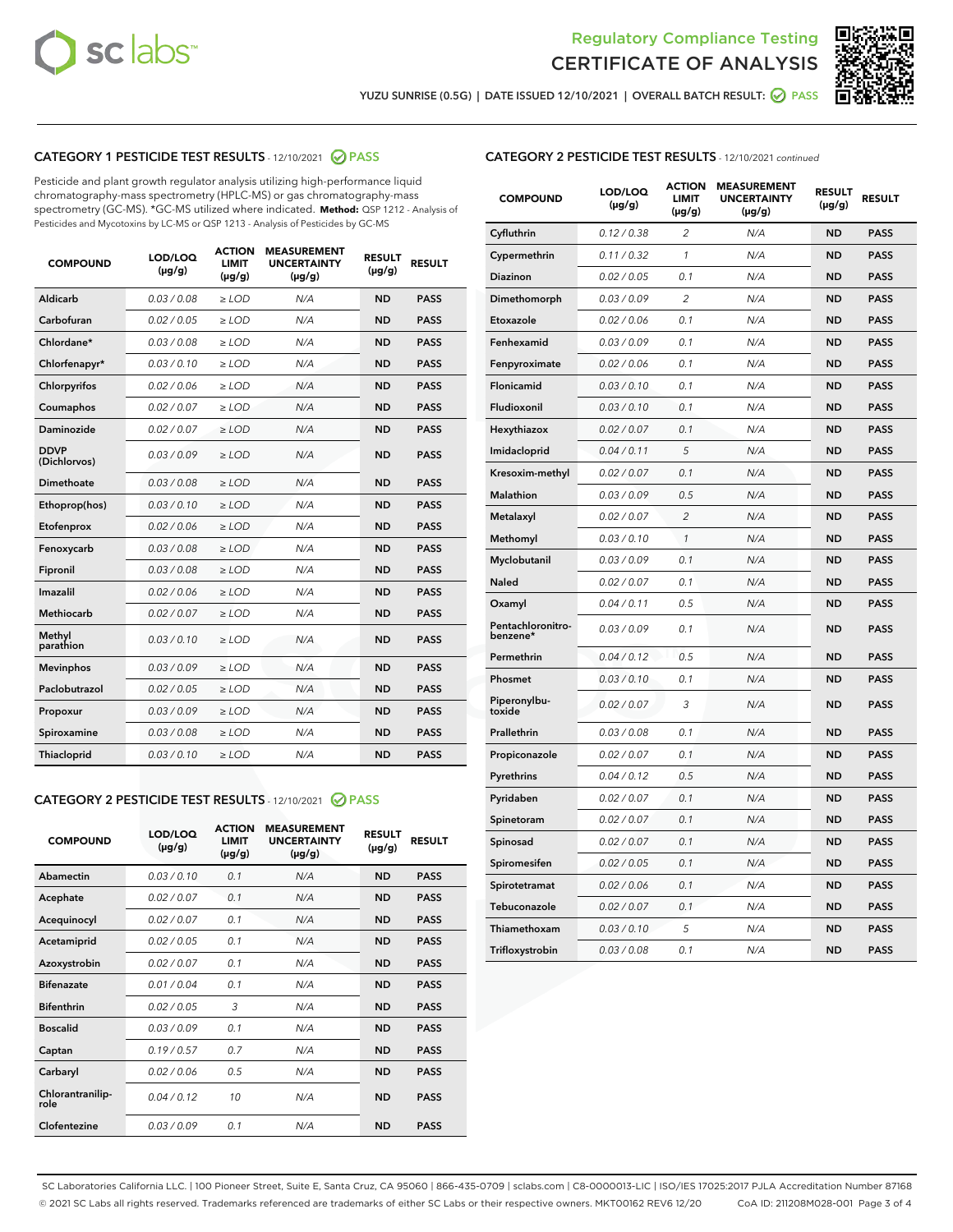



YUZU SUNRISE (0.5G) | DATE ISSUED 12/10/2021 | OVERALL BATCH RESULT: ● PASS

# CATEGORY 1 PESTICIDE TEST RESULTS - 12/10/2021 2 PASS

Pesticide and plant growth regulator analysis utilizing high-performance liquid chromatography-mass spectrometry (HPLC-MS) or gas chromatography-mass spectrometry (GC-MS). \*GC-MS utilized where indicated. **Method:** QSP 1212 - Analysis of Pesticides and Mycotoxins by LC-MS or QSP 1213 - Analysis of Pesticides by GC-MS

| <b>COMPOUND</b>             | LOD/LOQ<br>$(\mu g/g)$ | <b>ACTION</b><br><b>LIMIT</b><br>$(\mu g/g)$ | <b>MEASUREMENT</b><br><b>UNCERTAINTY</b><br>$(\mu g/g)$ | <b>RESULT</b><br>$(\mu g/g)$ | <b>RESULT</b> |
|-----------------------------|------------------------|----------------------------------------------|---------------------------------------------------------|------------------------------|---------------|
| Aldicarb                    | 0.03/0.08              | $\ge$ LOD                                    | N/A                                                     | <b>ND</b>                    | <b>PASS</b>   |
| Carbofuran                  | 0.02/0.05              | $>$ LOD                                      | N/A                                                     | <b>ND</b>                    | <b>PASS</b>   |
| Chlordane*                  | 0.03 / 0.08            | $\ge$ LOD                                    | N/A                                                     | <b>ND</b>                    | <b>PASS</b>   |
| Chlorfenapyr*               | 0.03/0.10              | $\ge$ LOD                                    | N/A                                                     | <b>ND</b>                    | <b>PASS</b>   |
| Chlorpyrifos                | 0.02 / 0.06            | $\ge$ LOD                                    | N/A                                                     | <b>ND</b>                    | <b>PASS</b>   |
| Coumaphos                   | 0.02 / 0.07            | $>$ LOD                                      | N/A                                                     | <b>ND</b>                    | <b>PASS</b>   |
| Daminozide                  | 0.02/0.07              | $>$ LOD                                      | N/A                                                     | <b>ND</b>                    | <b>PASS</b>   |
| <b>DDVP</b><br>(Dichlorvos) | 0.03/0.09              | $\ge$ LOD                                    | N/A                                                     | <b>ND</b>                    | <b>PASS</b>   |
| Dimethoate                  | 0.03 / 0.08            | $\ge$ LOD                                    | N/A                                                     | <b>ND</b>                    | <b>PASS</b>   |
| Ethoprop(hos)               | 0.03/0.10              | $>$ LOD                                      | N/A                                                     | <b>ND</b>                    | <b>PASS</b>   |
| Etofenprox                  | 0.02 / 0.06            | $\ge$ LOD                                    | N/A                                                     | <b>ND</b>                    | <b>PASS</b>   |
| Fenoxycarb                  | 0.03 / 0.08            | $\ge$ LOD                                    | N/A                                                     | <b>ND</b>                    | <b>PASS</b>   |
| Fipronil                    | 0.03/0.08              | $\ge$ LOD                                    | N/A                                                     | <b>ND</b>                    | <b>PASS</b>   |
| Imazalil                    | 0.02 / 0.06            | $\ge$ LOD                                    | N/A                                                     | <b>ND</b>                    | <b>PASS</b>   |
| <b>Methiocarb</b>           | 0.02 / 0.07            | $\ge$ LOD                                    | N/A                                                     | <b>ND</b>                    | <b>PASS</b>   |
| Methyl<br>parathion         | 0.03/0.10              | $\ge$ LOD                                    | N/A                                                     | <b>ND</b>                    | <b>PASS</b>   |
| <b>Mevinphos</b>            | 0.03/0.09              | $>$ LOD                                      | N/A                                                     | <b>ND</b>                    | <b>PASS</b>   |
| Paclobutrazol               | 0.02 / 0.05            | $\ge$ LOD                                    | N/A                                                     | <b>ND</b>                    | <b>PASS</b>   |
| Propoxur                    | 0.03/0.09              | $\ge$ LOD                                    | N/A                                                     | <b>ND</b>                    | <b>PASS</b>   |
| Spiroxamine                 | 0.03 / 0.08            | $\ge$ LOD                                    | N/A                                                     | <b>ND</b>                    | <b>PASS</b>   |
| Thiacloprid                 | 0.03/0.10              | $\ge$ LOD                                    | N/A                                                     | <b>ND</b>                    | <b>PASS</b>   |

### CATEGORY 2 PESTICIDE TEST RESULTS - 12/10/2021 @ PASS

| <b>COMPOUND</b>          | LOD/LOQ<br>$(\mu g/g)$ | <b>ACTION</b><br><b>LIMIT</b><br>$(\mu g/g)$ | <b>MEASUREMENT</b><br><b>UNCERTAINTY</b><br>$(\mu g/g)$ | <b>RESULT</b><br>$(\mu g/g)$ | <b>RESULT</b> |
|--------------------------|------------------------|----------------------------------------------|---------------------------------------------------------|------------------------------|---------------|
| Abamectin                | 0.03/0.10              | 0.1                                          | N/A                                                     | <b>ND</b>                    | <b>PASS</b>   |
| Acephate                 | 0.02/0.07              | 0.1                                          | N/A                                                     | <b>ND</b>                    | <b>PASS</b>   |
| Acequinocyl              | 0.02/0.07              | 0.1                                          | N/A                                                     | <b>ND</b>                    | <b>PASS</b>   |
| Acetamiprid              | 0.02/0.05              | 0.1                                          | N/A                                                     | <b>ND</b>                    | <b>PASS</b>   |
| Azoxystrobin             | 0.02/0.07              | 0.1                                          | N/A                                                     | <b>ND</b>                    | <b>PASS</b>   |
| <b>Bifenazate</b>        | 0.01/0.04              | 0.1                                          | N/A                                                     | <b>ND</b>                    | <b>PASS</b>   |
| <b>Bifenthrin</b>        | 0.02 / 0.05            | 3                                            | N/A                                                     | <b>ND</b>                    | <b>PASS</b>   |
| <b>Boscalid</b>          | 0.03/0.09              | 0.1                                          | N/A                                                     | <b>ND</b>                    | <b>PASS</b>   |
| Captan                   | 0.19/0.57              | 0.7                                          | N/A                                                     | <b>ND</b>                    | <b>PASS</b>   |
| Carbaryl                 | 0.02/0.06              | 0.5                                          | N/A                                                     | <b>ND</b>                    | <b>PASS</b>   |
| Chlorantranilip-<br>role | 0.04/0.12              | 10                                           | N/A                                                     | <b>ND</b>                    | <b>PASS</b>   |
| Clofentezine             | 0.03/0.09              | 0.1                                          | N/A                                                     | <b>ND</b>                    | <b>PASS</b>   |

| <b>CATEGORY 2 PESTICIDE TEST RESULTS</b> - 12/10/2021 continued |  |
|-----------------------------------------------------------------|--|
|                                                                 |  |

| <b>COMPOUND</b>               | LOD/LOQ<br>(µg/g) | <b>ACTION</b><br>LIMIT<br>(µg/g) | <b>MEASUREMENT</b><br><b>UNCERTAINTY</b><br>$(\mu g/g)$ | <b>RESULT</b><br>(µg/g) | <b>RESULT</b> |
|-------------------------------|-------------------|----------------------------------|---------------------------------------------------------|-------------------------|---------------|
| Cyfluthrin                    | 0.12 / 0.38       | $\overline{c}$                   | N/A                                                     | ND                      | <b>PASS</b>   |
| Cypermethrin                  | 0.11/0.32         | 1                                | N/A                                                     | ND                      | <b>PASS</b>   |
| <b>Diazinon</b>               | 0.02 / 0.05       | 0.1                              | N/A                                                     | ND                      | <b>PASS</b>   |
| Dimethomorph                  | 0.03 / 0.09       | 2                                | N/A                                                     | <b>ND</b>               | <b>PASS</b>   |
| Etoxazole                     | 0.02 / 0.06       | 0.1                              | N/A                                                     | ND                      | <b>PASS</b>   |
| Fenhexamid                    | 0.03 / 0.09       | 0.1                              | N/A                                                     | <b>ND</b>               | <b>PASS</b>   |
| Fenpyroximate                 | 0.02 / 0.06       | 0.1                              | N/A                                                     | ND                      | <b>PASS</b>   |
| Flonicamid                    | 0.03 / 0.10       | 0.1                              | N/A                                                     | ND                      | <b>PASS</b>   |
| Fludioxonil                   | 0.03 / 0.10       | 0.1                              | N/A                                                     | ND                      | <b>PASS</b>   |
| Hexythiazox                   | 0.02 / 0.07       | 0.1                              | N/A                                                     | ND                      | <b>PASS</b>   |
| Imidacloprid                  | 0.04 / 0.11       | 5                                | N/A                                                     | ND                      | <b>PASS</b>   |
| Kresoxim-methyl               | 0.02 / 0.07       | 0.1                              | N/A                                                     | ND                      | <b>PASS</b>   |
| Malathion                     | 0.03 / 0.09       | 0.5                              | N/A                                                     | <b>ND</b>               | <b>PASS</b>   |
| Metalaxyl                     | 0.02 / 0.07       | $\overline{c}$                   | N/A                                                     | ND                      | <b>PASS</b>   |
| Methomyl                      | 0.03 / 0.10       | 1                                | N/A                                                     | <b>ND</b>               | <b>PASS</b>   |
| Myclobutanil                  | 0.03 / 0.09       | 0.1                              | N/A                                                     | <b>ND</b>               | <b>PASS</b>   |
| Naled                         | 0.02 / 0.07       | 0.1                              | N/A                                                     | <b>ND</b>               | <b>PASS</b>   |
| Oxamyl                        | 0.04 / 0.11       | 0.5                              | N/A                                                     | <b>ND</b>               | <b>PASS</b>   |
| Pentachloronitro-<br>benzene* | 0.03/0.09         | 0.1                              | N/A                                                     | ND                      | <b>PASS</b>   |
| Permethrin                    | 0.04 / 0.12       | 0.5                              | N/A                                                     | <b>ND</b>               | <b>PASS</b>   |
| Phosmet                       | 0.03 / 0.10       | 0.1                              | N/A                                                     | ND                      | <b>PASS</b>   |
| Piperonylbu-<br>toxide        | 0.02 / 0.07       | 3                                | N/A                                                     | <b>ND</b>               | <b>PASS</b>   |
| Prallethrin                   | 0.03 / 0.08       | 0.1                              | N/A                                                     | ND                      | <b>PASS</b>   |
| Propiconazole                 | 0.02 / 0.07       | 0.1                              | N/A                                                     | <b>ND</b>               | <b>PASS</b>   |
| Pyrethrins                    | 0.04 / 0.12       | 0.5                              | N/A                                                     | ND                      | <b>PASS</b>   |
| Pyridaben                     | 0.02 / 0.07       | 0.1                              | N/A                                                     | ND                      | <b>PASS</b>   |
| Spinetoram                    | 0.02 / 0.07       | 0.1                              | N/A                                                     | <b>ND</b>               | <b>PASS</b>   |
| Spinosad                      | 0.02 / 0.07       | 0.1                              | N/A                                                     | <b>ND</b>               | <b>PASS</b>   |
| Spiromesifen                  | 0.02 / 0.05       | 0.1                              | N/A                                                     | ND                      | <b>PASS</b>   |
| Spirotetramat                 | 0.02 / 0.06       | 0.1                              | N/A                                                     | ND                      | <b>PASS</b>   |
| Tebuconazole                  | 0.02 / 0.07       | 0.1                              | N/A                                                     | ND                      | <b>PASS</b>   |
| Thiamethoxam                  | 0.03 / 0.10       | 5                                | N/A                                                     | ND                      | <b>PASS</b>   |
| Trifloxystrobin               | 0.03 / 0.08       | 0.1                              | N/A                                                     | ND                      | <b>PASS</b>   |

SC Laboratories California LLC. | 100 Pioneer Street, Suite E, Santa Cruz, CA 95060 | 866-435-0709 | sclabs.com | C8-0000013-LIC | ISO/IES 17025:2017 PJLA Accreditation Number 87168 © 2021 SC Labs all rights reserved. Trademarks referenced are trademarks of either SC Labs or their respective owners. MKT00162 REV6 12/20 CoA ID: 211208M028-001 Page 3 of 4